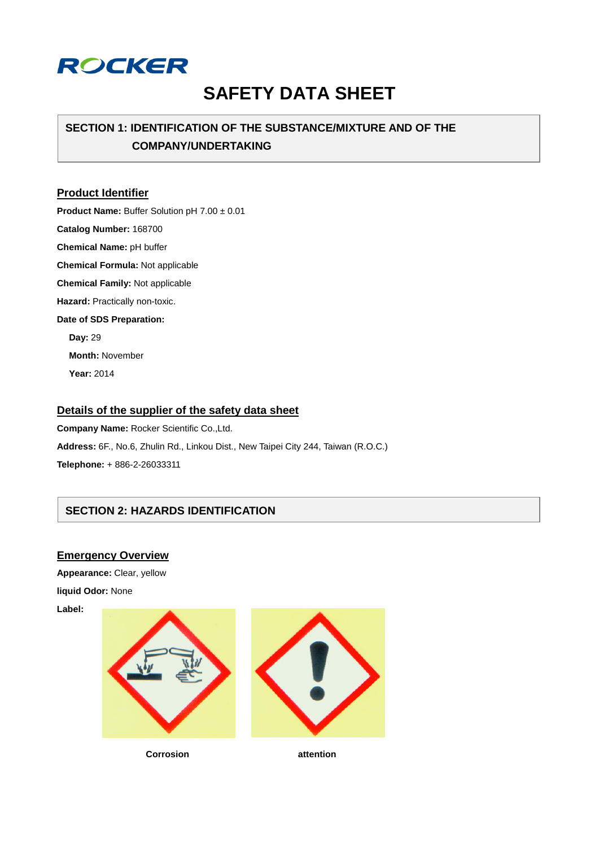

# **SAFETY DATA SHEET**

## **SECTION 1: IDENTIFICATION OF THE SUBSTANCE/MIXTURE AND OF THE COMPANY/UNDERTAKING**

#### **Product Identifier**

**Product Name:** Buffer Solution pH 7.00 ± 0.01 **Catalog Number:** 168700

**Chemical Name:** pH buffer

**Chemical Formula:** Not applicable

**Chemical Family:** Not applicable

**Hazard:** Practically non-toxic.

#### **Date of SDS Preparation:**

**Day:** 29 **Month:** November **Year:** 2014

## **Details of the supplier of the safety data sheet**

**Company Name:** Rocker Scientific Co.,Ltd. **Address:** 6F., No.6, Zhulin Rd., Linkou Dist., New Taipei City 244, Taiwan (R.O.C.) **Telephone:** + 886-2-26033311

## **SECTION 2: HAZARDS IDENTIFICATION**

#### **Emergency Overview**

**Appearance:** Clear, yellow **liquid Odor:** None

**Label:**



**Corrosion attention**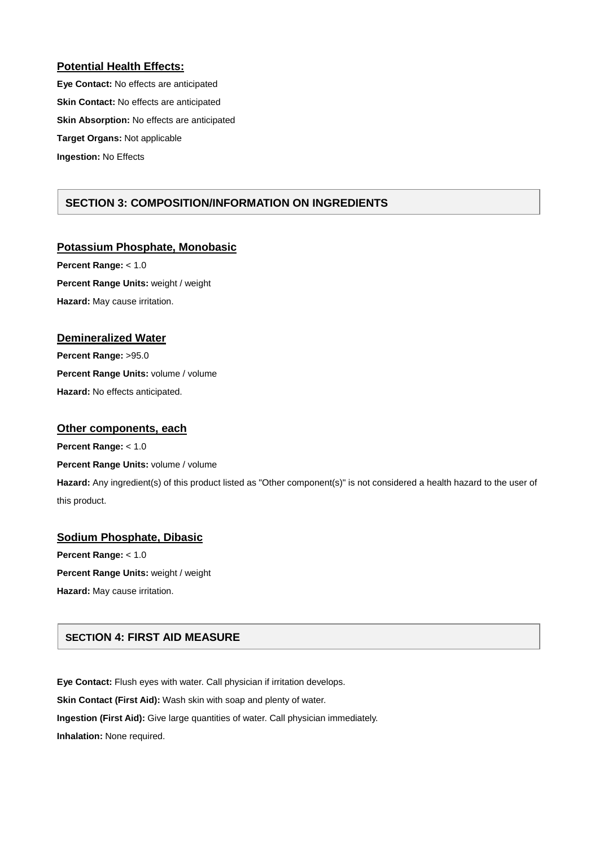#### **Potential Health Effects:**

**Eye Contact:** No effects are anticipated **Skin Contact:** No effects are anticipated **Skin Absorption:** No effects are anticipated **Target Organs:** Not applicable **Ingestion:** No Effects

## **SECTION 3: COMPOSITION/INFORMATION ON INGREDIENTS**

#### **Potassium Phosphate, Monobasic**

**Percent Range:** < 1.0 **Percent Range Units:** weight / weight **Hazard:** May cause irritation.

#### **Demineralized Water**

**Percent Range:** >95.0 **Percent Range Units:** volume / volume **Hazard:** No effects anticipated.

#### **Other components, each**

**Percent Range:** < 1.0

#### **Percent Range Units:** volume / volume

**Hazard:** Any ingredient(s) of this product listed as "Other component(s)" is not considered a health hazard to the user of this product.

## **Sodium Phosphate, Dibasic Percent Range:** < 1.0 **Percent Range Units:** weight / weight

**Hazard:** May cause irritation.

## **SECTION 4: FIRST AID MEASURE**

**Eye Contact:** Flush eyes with water. Call physician if irritation develops. **Skin Contact (First Aid):** Wash skin with soap and plenty of water. **Ingestion (First Aid):** Give large quantities of water. Call physician immediately. **Inhalation:** None required.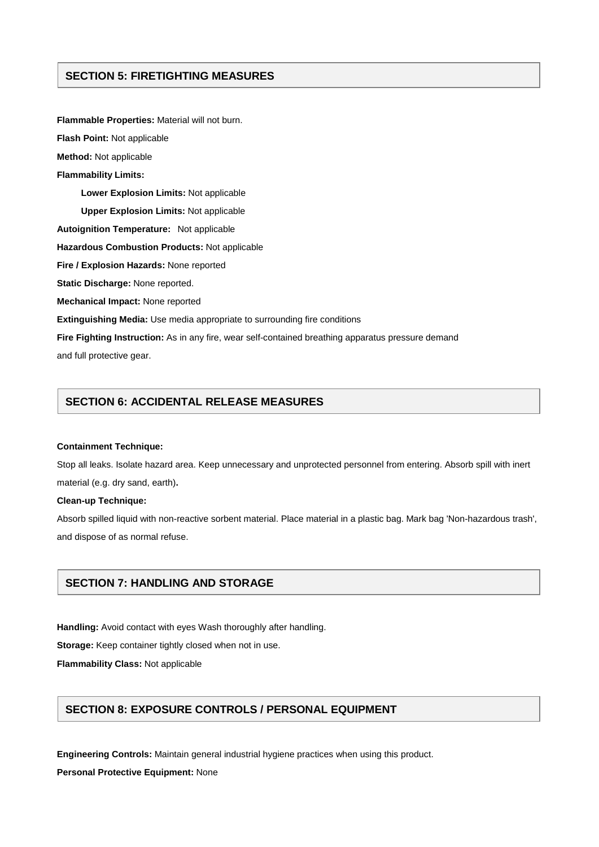## **SECTION 5: FIRETIGHTING MEASURES**

**Flammable Properties:** Material will not burn. **Flash Point:** Not applicable **Method:** Not applicable **Flammability Limits: Lower Explosion Limits:** Not applicable **Upper Explosion Limits:** Not applicable **Autoignition Temperature:** Not applicable **Hazardous Combustion Products:** Not applicable **Fire / Explosion Hazards:** None reported **Static Discharge:** None reported. **Mechanical Impact:** None reported **Extinguishing Media:** Use media appropriate to surrounding fire conditions **Fire Fighting Instruction:** As in any fire, wear self-contained breathing apparatus pressure demand and full protective gear.

## **SECTION 6: ACCIDENTAL RELEASE MEASURES**

#### **Containment Technique:**

Stop all leaks. Isolate hazard area. Keep unnecessary and unprotected personnel from entering. Absorb spill with inert material (e.g. dry sand, earth)**.**

#### **Clean-up Technique:**

Absorb spilled liquid with non-reactive sorbent material. Place material in a plastic bag. Mark bag 'Non-hazardous trash', and dispose of as normal refuse.

#### **SECTION 7: HANDLING AND STORAGE**

**Handling:** Avoid contact with eyes Wash thoroughly after handling.

**Storage:** Keep container tightly closed when not in use.

**Flammability Class:** Not applicable

## **SECTION 8: EXPOSURE CONTROLS / PERSONAL EQUIPMENT**

**Engineering Controls:** Maintain general industrial hygiene practices when using this product.

**Personal Protective Equipment:** None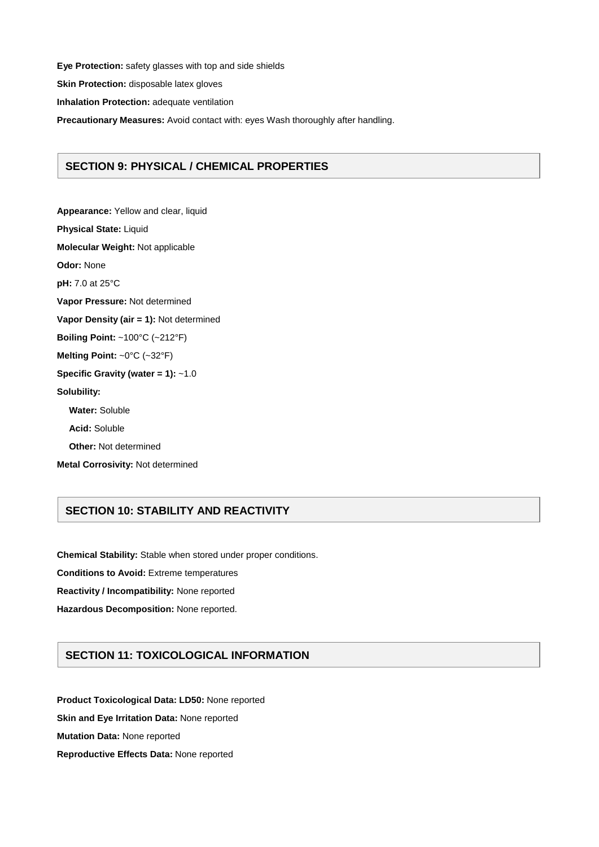**Eye Protection:** safety glasses with top and side shields **Skin Protection:** disposable latex gloves **Inhalation Protection:** adequate ventilation **Precautionary Measures:** Avoid contact with: eyes Wash thoroughly after handling.

## **SECTION 9: PHYSICAL / CHEMICAL PROPERTIES**

**Appearance:** Yellow and clear, liquid **Physical State:** Liquid **Molecular Weight:** Not applicable **Odor:** None **pH:** 7.0 at 25°C **Vapor Pressure:** Not determined **Vapor Density (air = 1):** Not determined **Boiling Point:** ~100°C (~212°F) **Melting Point:** ~0°C (~32°F) **Specific Gravity (water = 1):** ~1.0 **Solubility: Water:** Soluble **Acid:** Soluble **Other:** Not determined **Metal Corrosivity:** Not determined

## **SECTION 10: STABILITY AND REACTIVITY**

**Chemical Stability:** Stable when stored under proper conditions.

**Conditions to Avoid:** Extreme temperatures

**Reactivity / Incompatibility:** None reported

**Hazardous Decomposition:** None reported.

## **SECTION 11: TOXICOLOGICAL INFORMATION**

**Product Toxicological Data: LD50:** None reported **Skin and Eye Irritation Data:** None reported **Mutation Data:** None reported **Reproductive Effects Data:** None reported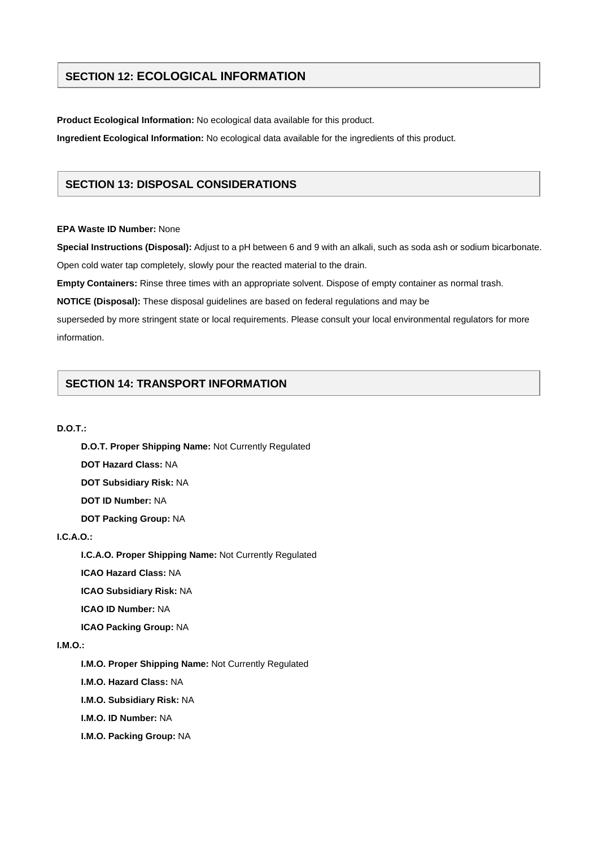## **SECTION 12: ECOLOGICAL INFORMATION**

**Product Ecological Information:** No ecological data available for this product.

**Ingredient Ecological Information:** No ecological data available for the ingredients of this product.

## **SECTION 13: DISPOSAL CONSIDERATIONS**

#### **EPA Waste ID Number:** None

**Special Instructions (Disposal):** Adjust to a pH between 6 and 9 with an alkali, such as soda ash or sodium bicarbonate. Open cold water tap completely, slowly pour the reacted material to the drain.

**Empty Containers:** Rinse three times with an appropriate solvent. Dispose of empty container as normal trash.

**NOTICE (Disposal):** These disposal guidelines are based on federal regulations and may be

superseded by more stringent state or local requirements. Please consult your local environmental regulators for more information.

## **SECTION 14: TRANSPORT INFORMATION**

#### **D.O.T.:**

**D.O.T. Proper Shipping Name:** Not Currently Regulated

**DOT Hazard Class:** NA

**DOT Subsidiary Risk:** NA

**DOT ID Number:** NA

**DOT Packing Group:** NA

#### **I.C.A.O.:**

**I.C.A.O. Proper Shipping Name:** Not Currently Regulated

**ICAO Hazard Class:** NA

**ICAO Subsidiary Risk:** NA

**ICAO ID Number:** NA

**ICAO Packing Group:** NA

#### **I.M.O.:**

**I.M.O. Proper Shipping Name:** Not Currently Regulated

**I.M.O. Hazard Class:** NA

**I.M.O. Subsidiary Risk:** NA

**I.M.O. ID Number:** NA

**I.M.O. Packing Group:** NA